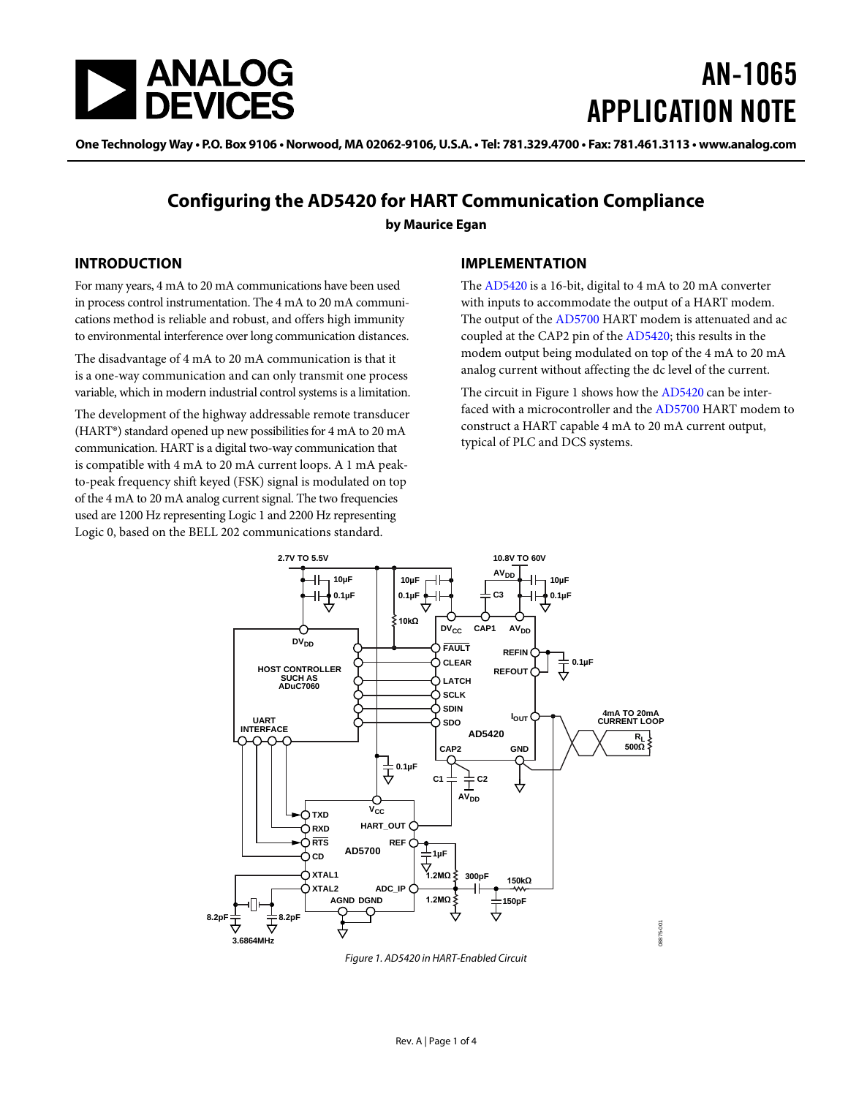

# AN-1065 APPLICATION NOTE

One Technology Way • P.O. Box 9106 • Norwood, MA 02062-9106, U.S.A. • Tel: 781.329.4700 • Fax: 781.461.3113 • www.analog.com

### **Configuring the AD5420 for HART Communication Compliance**

**by Maurice Egan**

#### **INTRODUCTION**

For many years, 4 mA to 20 mA communications have been used in process control instrumentation. The 4 mA to 20 mA communications method is reliable and robust, and offers high immunity to environmental interference over long communication distances.

The disadvantage of 4 mA to 20 mA communication is that it is a one-way communication and can only transmit one process variable, which in modern industrial control systems is a limitation.

The development of the highway addressable remote transducer (HART®) standard opened up new possibilities for 4 mA to 20 mA communication. HART is a digital two-way communication that is compatible with 4 mA to 20 mA current loops. A 1 mA peakto-peak frequency shift keyed (FSK) signal is modulated on top of the 4 mA to 20 mA analog current signal. The two frequencies used are 1200 Hz representing Logic 1 and 2200 Hz representing Logic 0, based on the BELL 202 communications standard.

#### **IMPLEMENTATION**

The [AD5420](http://www.analog.com/AD5420) is a 16-bit, digital to 4 mA to 20 mA converter with inputs to accommodate the output of a HART modem. The output of the [AD5700](http://www.analog.com/AD5700) HART modem is attenuated and ac coupled at the CAP2 pin of the [AD5420;](http://www.analog.com/AD5420) this results in the modem output being modulated on top of the 4 mA to 20 mA analog current without affecting the dc level of the current.

The circuit i[n Figure 1](#page-0-0) shows how th[e AD5420](http://www.analog.com/AD5420) can be interfaced with a microcontroller and th[e AD5700](http://www.analog.com/AD5700) HART modem to construct a HART capable 4 mA to 20 mA current output, typical of PLC and DCS systems.



<span id="page-0-0"></span>*Figure 1. AD5420 in HART-Enabled Circuit*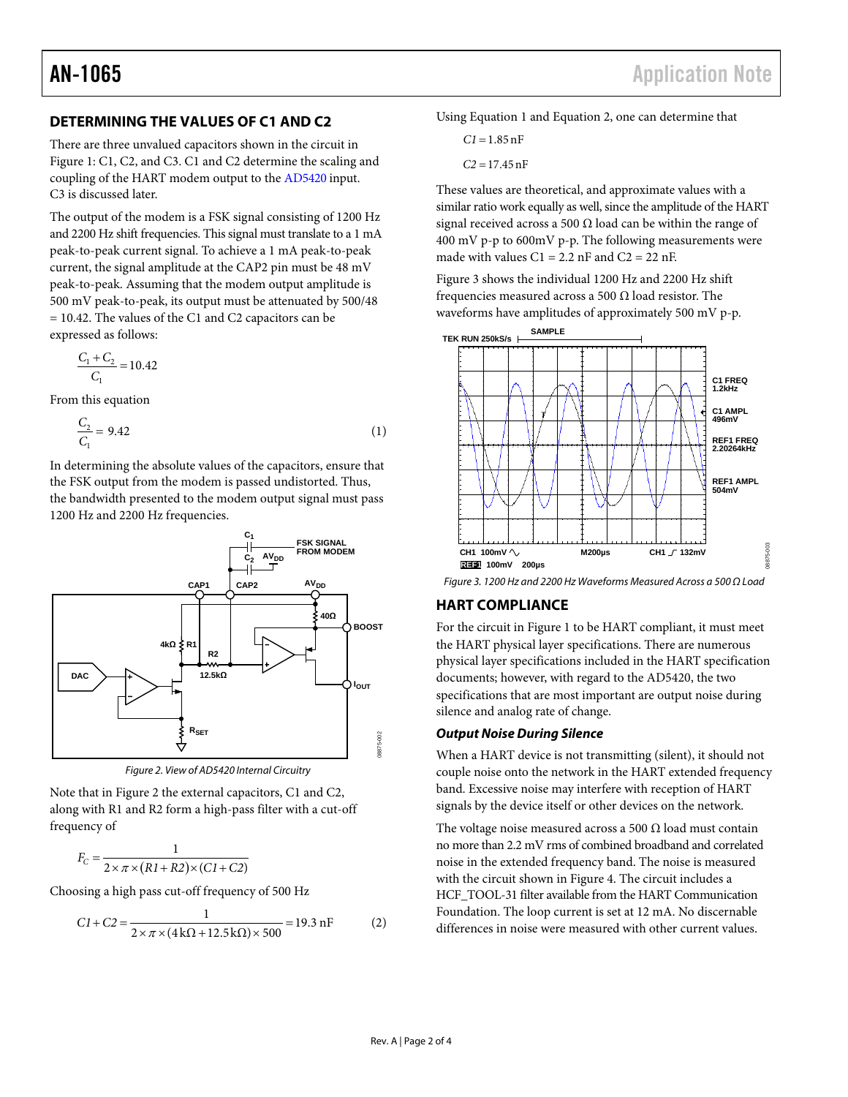#### **DETERMINING THE VALUES OF C1 AND C2**

There are three unvalued capacitors shown in the circuit in [Figure 1:](#page-0-0) C1, C2, and C3. C1 and C2 determine the scaling and coupling of the HART modem output to th[e AD5420](http://www.analog.com/AD5420) input. C3 is discussed later.

The output of the modem is a FSK signal consisting of 1200 Hz and 2200 Hz shift frequencies. This signal must translate to a 1 mA peak-to-peak current signal. To achieve a 1 mA peak-to-peak current, the signal amplitude at the CAP2 pin must be 48 mV peak-to-peak. Assuming that the modem output amplitude is 500 mV peak-to-peak, its output must be attenuated by 500/48 = 10.42. The values of the C1 and C2 capacitors can be expressed as follows:

$$
\frac{C_1 + C_2}{C_1} = 10.42
$$

From this equation

$$
\frac{C_2}{C_1} = 9.42\tag{1}
$$

In determining the absolute values of the capacitors, ensure that the FSK output from the modem is passed undistorted. Thus, the bandwidth presented to the modem output signal must pass 1200 Hz and 2200 Hz frequencies.



*Figure 2. View of AD5420 Internal Circuitry*

<span id="page-1-0"></span>Note that in [Figure 2](#page-1-0) the external capacitors, C1 and C2, along with R1 and R2 form a high-pass filter with a cut-off frequency of

$$
F_C = \frac{1}{2 \times \pi \times (R1 + R2) \times (C1 + C2)}
$$

Choosing a high pass cut-off frequency of 500 Hz

$$
CI + C2 = \frac{1}{2 \times \pi \times (4k\Omega + 12.5k\Omega) \times 500} = 19.3 \text{ nF}
$$
 (2)

Using Equation 1 and Equation 2, one can determine that

```
C1 = 1.85nF
```
*C2* = 17.45nF

These values are theoretical, and approximate values with a similar ratio work equally as well, since the amplitude of the HART signal received across a 500  $\Omega$  load can be within the range of 400 mV p-p to 600mV p-p. The following measurements were made with values  $C1 = 2.2$  nF and  $C2 = 22$  nF.

[Figure 3](#page-1-1) shows the individual 1200 Hz and 2200 Hz shift frequencies measured across a 500  $\Omega$  load resistor. The waveforms have amplitudes of approximately 500 mV p-p.



<span id="page-1-1"></span>*Figure 3. 1200 Hz and 2200 Hz Waveforms Measured Across a 500 Ω Load*

### **HART COMPLIANCE**

For the circuit in [Figure 1](#page-0-0) to be HART compliant, it must meet the HART physical layer specifications. There are numerous physical layer specifications included in the HART specification documents; however, with regard to the AD5420, the two specifications that are most important are output noise during silence and analog rate of change.

#### *Output Noise During Silence*

When a HART device is not transmitting (silent), it should not couple noise onto the network in the HART extended frequency band. Excessive noise may interfere with reception of HART signals by the device itself or other devices on the network.

The voltage noise measured across a 500  $\Omega$  load must contain no more than 2.2 mV rms of combined broadband and correlated noise in the extended frequency band. The noise is measured with the circuit shown in [Figure 4.](#page-2-0) The circuit includes a HCF\_TOOL-31 filter available from the HART Communication Foundation. The loop current is set at 12 mA. No discernable differences in noise were measured with other current values.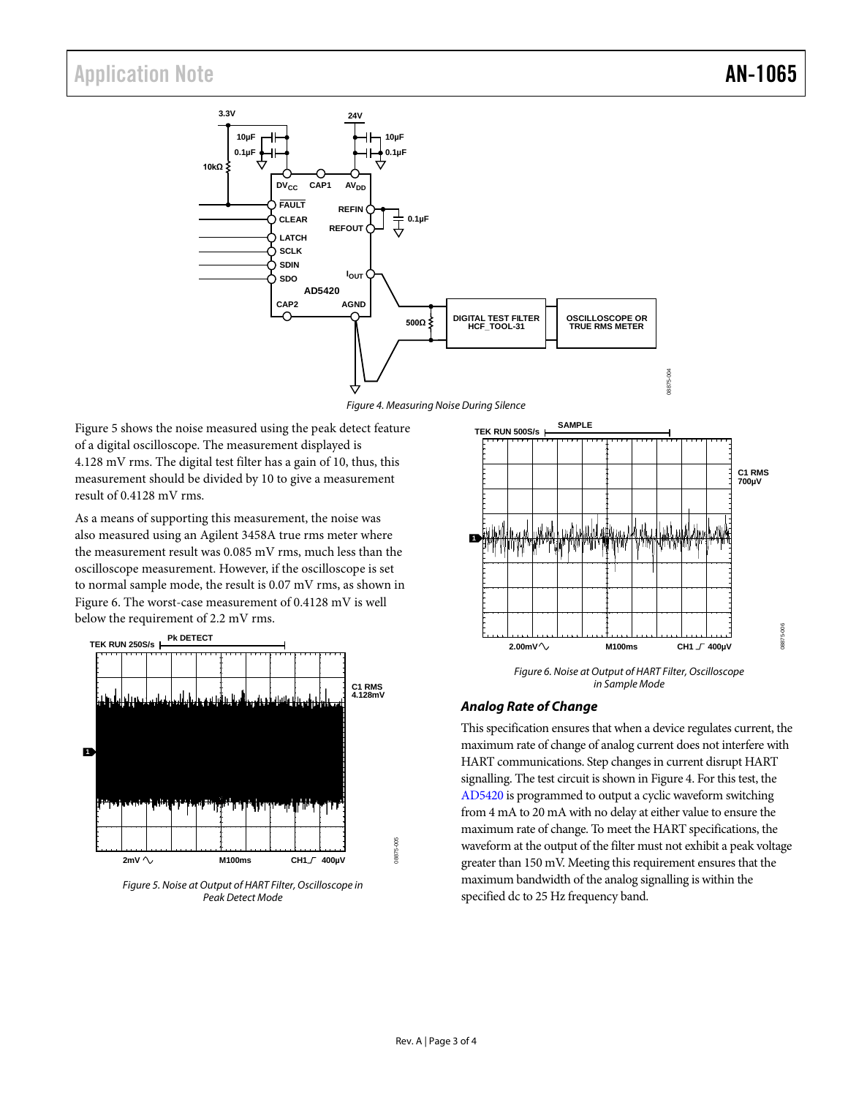<span id="page-2-0"></span>

*Figure 4. Measuring Noise During Silence*

[Figure 5](#page-2-1) shows the noise measured using the peak detect feature of a digital oscilloscope. The measurement displayed is 4.128 mV rms. The digital test filter has a gain of 10, thus, this measurement should be divided by 10 to give a measurement result of 0.4128 mV rms.

As a means of supporting this measurement, the noise was also measured using an Agilent 3458A true rms meter where the measurement result was 0.085 mV rms, much less than the oscilloscope measurement. However, if the oscilloscope is set to normal sample mode, the result is 0.07 mV rms, as shown in [Figure 6.](#page-2-2) The worst-case measurement of 0.4128 mV is well below the requirement of 2.2 mV rms.



<span id="page-2-1"></span>*Figure 5. Noise at Output of HART Filter, Oscilloscope in Peak Detect Mode*



08875-004

*Figure 6. Noise at Output of HART Filter, Oscilloscope in Sample Mode*

#### <span id="page-2-2"></span>*Analog Rate of Change*

This specification ensures that when a device regulates current, the maximum rate of change of analog current does not interfere with HART communications. Step changes in current disrupt HART signalling. The test circuit is shown in Figure 4. For this test, the [AD5420](http://www.analog.com/AD5420) is programmed to output a cyclic waveform switching from 4 mA to 20 mA with no delay at either value to ensure the maximum rate of change. To meet the HART specifications, the waveform at the output of the filter must not exhibit a peak voltage greater than 150 mV. Meeting this requirement ensures that the maximum bandwidth of the analog signalling is within the specified dc to 25 Hz frequency band.